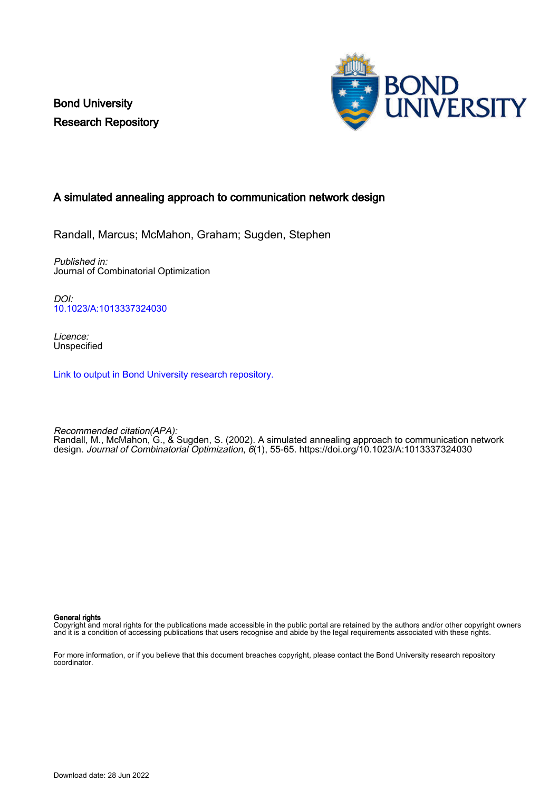Bond University Research Repository



## A simulated annealing approach to communication network design

Randall, Marcus; McMahon, Graham; Sugden, Stephen

Published in: Journal of Combinatorial Optimization

DOI: [10.1023/A:1013337324030](https://doi.org/10.1023/A:1013337324030)

Licence: **Unspecified** 

[Link to output in Bond University research repository.](https://research.bond.edu.au/en/publications/d6939785-b6d0-4b2c-b74d-7453357320a1)

Recommended citation(APA): Randall, M., McMahon, G., & Sugden, S. (2002). A simulated annealing approach to communication network design. Journal of Combinatorial Optimization, 6(1), 55-65. <https://doi.org/10.1023/A:1013337324030>

General rights

Copyright and moral rights for the publications made accessible in the public portal are retained by the authors and/or other copyright owners and it is a condition of accessing publications that users recognise and abide by the legal requirements associated with these rights.

For more information, or if you believe that this document breaches copyright, please contact the Bond University research repository coordinator.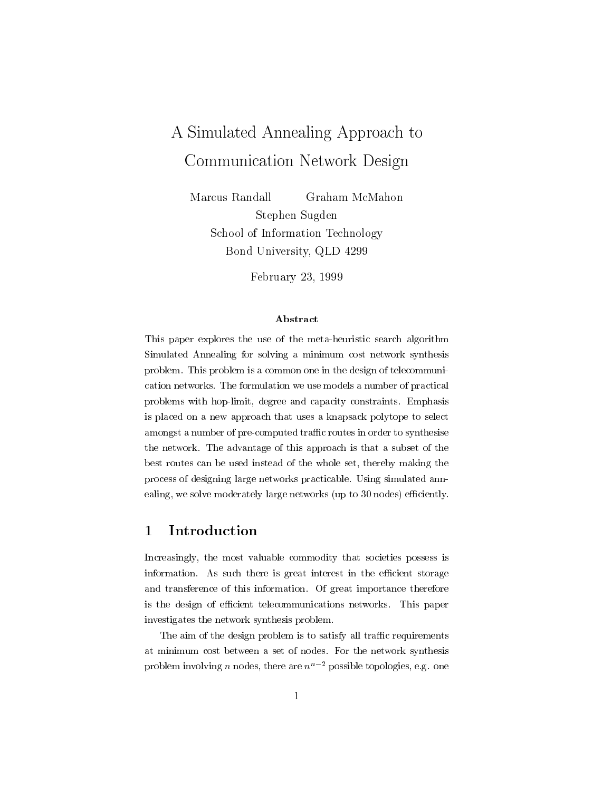# A Simulated Annealing Approach to Communication Network Design

Marcus Randall Graham McMahon Stephen Sugden School of Information Technology $B$ ond University, QLD 4299

February 23, 1999

This paper explores the use of the meta-heuristic search algorithm Simulated Annealing for solving a minimum cost network synthesis problem. This problem is a common one in the design of telecommunication networks. The formulation we use models a number of practical problems with hop-limit, degree and capacity constraints. Emphasis is placed on a new approach that uses a knapsack polytope to select amongst a number of pre-computed traffic routes in order to synthesise the network. The advantage of this approach is that a subset of the best routes can be used instead of the whole set, thereby making the process of designing large networks practicable. Using simulated annealing, we solve moderately large networks (up to 30 nodes) efficiently.

### 1 Introduction

Increasingly, the most valuable commodity that societies possess is information. As such there is great interest in the efficient storage and transference of this information. Of great importance therefore is the design of efficient telecommunications networks. This paper investigates the network synthesis problem.

The aim of the design problem is to satisfy all traffic requirements at minimum cost between a set of nodes. For the network synthesis problem involving *n* nodes, there are  $n^{n-2}$  possible topologies, e.g. one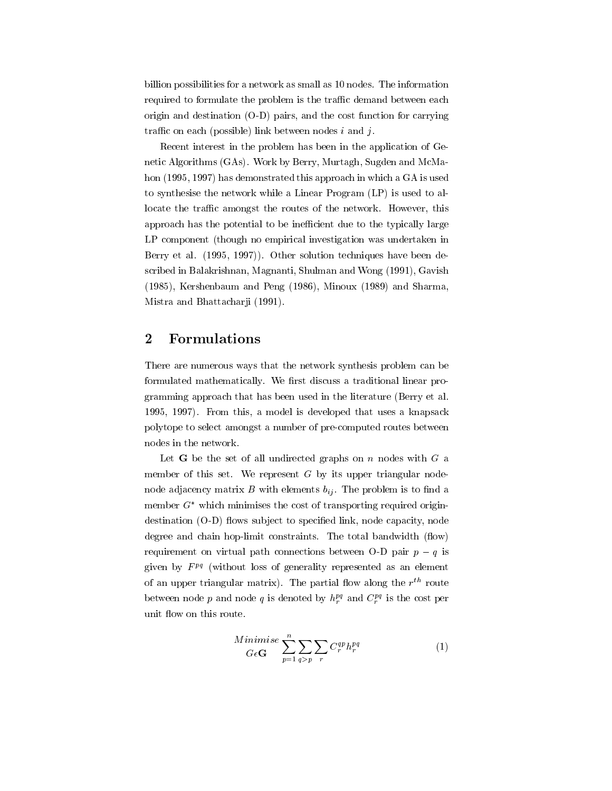billion possibilities for a network as small as 10 nodes. The information required to formulate the problem is the traffic demand between each origin and destination (O-D) pairs, and the cost function for carrying traffic on each (possible) link between nodes  $i$  and  $j$ .

Recent interest in the problem has been in the application of Genetic Algorithms (GAs). Work by Berry, Murtagh, Sugden and McMahon (1995, 1997) has demonstrated this approach in which a GA is used to synthesise the network while a Linear Program (LP) is used to allocate the traffic amongst the routes of the network. However, this approach has the potential to be inefficient due to the typically large LP component (though no empirical investigation was undertaken in Berry et al. (1995, 1997)). Other solution techniques have been described in Balakrishnan, Magnanti, Shulman and Wong (1991), Gavish (1985), Kershenbaum and Peng (1986), Minoux (1989) and Sharma, Mistra and Bhattacharji (1991).

### 2 Formulations

There are numerous ways that the network synthesis problem can be formulated mathematically. We first discuss a traditional linear programming approach that has been used in the literature (Berry et al. 1995, 1997). From this, a model is developed that uses a knapsack polytope to select amongst a number of pre-computed routes between nodes in the network.

Let **G** be the set of all undirected graphs on n nodes with  $G$  a member of this set. We represent  $G$  by its upper triangular nodenode adjacency matrix B with elements  $b_{ij}$ . The problem is to find a member  $G^*$  which minimises the cost of transporting required origindestination (O-D) flows subject to specified link, node capacity, node degree and chain hop-limit constraints. The total bandwidth (flow) requirement on virtual path connections between O-D pair  $p - q$  is given by  $F^{pq}$  (without loss of generality represented as an element of an upper triangular matrix). The partial now along the  $r$  - route between node p and node q is denoted by  $h_r^{pq}$  and  $C_r^{pq}$  is the cost per unit flow on this route.

$$
\underset{G\epsilon\mathbf{G}}{Minimise} \sum_{p=1}^{n} \sum_{q>p} \sum_{r} C_{r}^{qp} h_{r}^{pq} \tag{1}
$$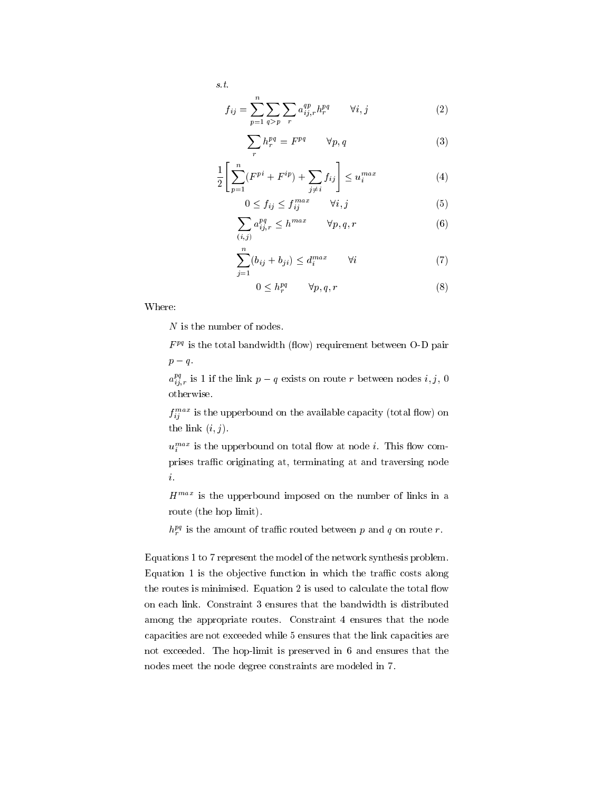$$
f_{ij} = \sum_{p=1}^{n} \sum_{q > p} \sum_{r} a_{ij,r}^{qp} h_r^{pq} \qquad \forall i, j \tag{2}
$$

$$
\sum_{r} h_r^{pq} = F^{pq} \qquad \forall p, q \tag{3}
$$

$$
\frac{1}{2} \left[ \sum_{p=1}^{n} (F^{pi} + F^{ip}) + \sum_{j \neq i} f_{ij} \right] \le u_i^{max} \tag{4}
$$

$$
0 \le f_{ij} \le f_{ij}^{max} \qquad \forall i, j \tag{5}
$$

$$
\sum_{(i,j)} a_{ij,r}^{pq} \le h^{max} \qquad \forall p, q, r \tag{6}
$$

$$
\sum_{j=1}^{n} (b_{ij} + b_{ji}) \le d_i^{max} \qquad \forall i \tag{7}
$$

$$
0 \le h_r^{pq} \qquad \forall p, q, r \tag{8}
$$

Where:

<sup>N</sup> is the number of nodes.

 $F<sup>pq</sup>$  is the total bandwidth (flow) requirement between O-D pair  $p - q$ .

 $a_{i,r}^{ex}$  is 1 if the link  $p-q$  exists on route r between nodes  $i, j, 0$ otherwise.

 $f_{ij}^{\text{max}}$  is the upperbound on the available capacity (total flow) on the link  $(i, j)$ .

 $u_i^{\dots}$  is the upperbound on total now at node  $i$ . This now comprises traffic originating at, terminating at and traversing node *i*.<br> $H^{max}$  is the upperbound imposed on the number of links in a

route (the hop limit).

 $h_r^{pq}$  is the amount of traffic routed between p and q on route r.

Equations 1 to 7 represent the model of the network synthesis problem. Equation 1 is the objective function in which the traffic costs along the routes is minimised. Equation 2 is used to calculate the total flow on each link. Constraint 3 ensures that the bandwidth is distributed among the appropriate routes. Constraint 4 ensures that the node capacities are not exceeded while 5 ensures that the link capacities are not exceeded. The hop-limit is preserved in 6 and ensures that the nodes meet the node degree constraints are modeled in 7.

s.t.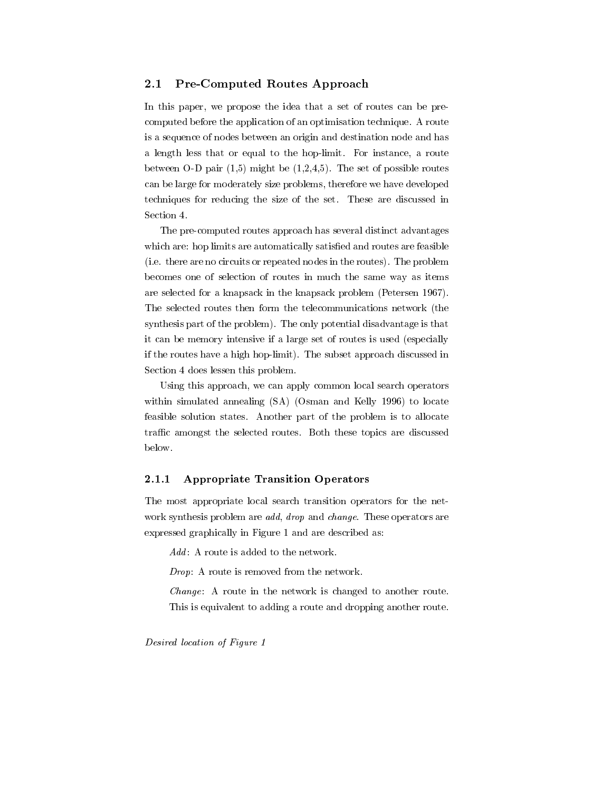#### $2.1$ Pre-Computed Routes Approach

In this paper, we propose the idea that a set of routes can be precomputed before the application of an optimisation technique. A route is a sequence of nodes between an origin and destination node and has a length less that or equal to the hop-limit. For instance, a route between O-D pair  $(1,5)$  might be  $(1,2,4,5)$ . The set of possible routes can be large for moderately size problems, therefore we have developed techniques for reducing the size of the set. These are discussed in Section 4.

The pre-computed routes approach has several distinct advantages which are: hop limits are automatically satisfied and routes are feasible (i.e. there are no circuits or repeated nodes in the routes). The problem becomes one of selection of routes in much the same way as items are selected for a knapsack in the knapsack problem (Petersen 1967). The selected routes then form the telecommunications network (the synthesis part of the problem). The only potential disadvantage is that it can be memory intensive if a large set of routes is used (especially if the routes have a high hop-limit). The subset approach discussed in Section 4 does lessen this problem.

Using this approach, we can apply common local search operators within simulated annealing (SA) (Osman and Kelly 1996) to locate feasible solution states. Another part of the problem is to allocate traffic amongst the selected routes. Both these topics are discussed below.

#### 2.1.1 Appropriate Transition Operators

The most appropriate local search transition operators for the net work synthesis problem are *add, drop* and *change*. These operators are expressed graphically in Figure 1 and are described as:

 $Add$ : A route is added to the network.

Drop: A route is removed from the network.

Change: A route in the network is changed to another route. This is equivalent to adding a route and dropping another route.

Desired location of Figure 1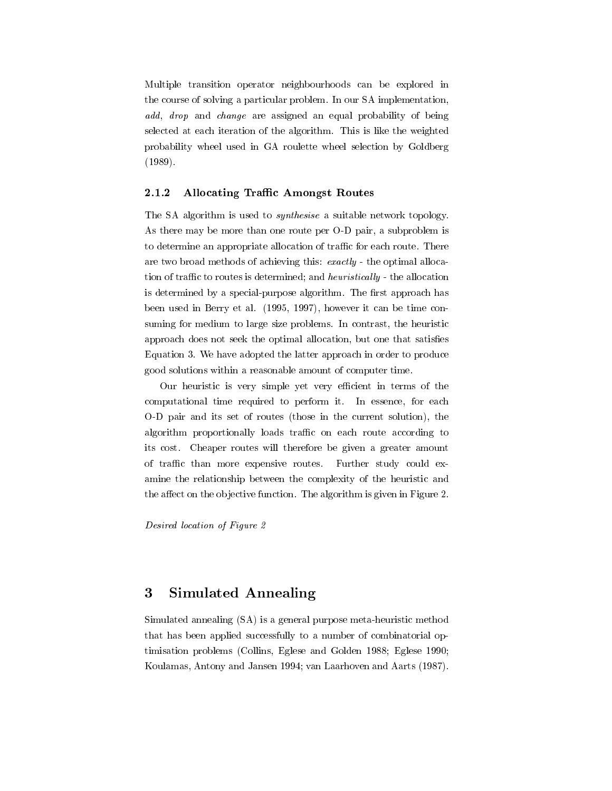Multiple transition operator neighbourhoods can be explored in the course of solving a particular problem. In our SA implementation, add, drop and change are assigned an equal probability of being selected at each iteration of the algorithm. This is like the weighted probability wheel used in GA roulette wheel selection by Goldberg (1989).

#### $2.1.2$ Allocating Traffic Amongst Routes

The SA algorithm is used to synthesise a suitable network topology. As there may be more than one route per O-D pair, a subproblem is to determine an appropriate allocation of traffic for each route. There are two broad methods of achieving this: exactly - the optimal allocation of traffic to routes is determined; and *heuristically* - the allocation is determined by a special-purpose algorithm. The first approach has been used in Berry et al. (1995, 1997), however it can be time consuming for medium to large size problems. In contrast, the heuristic approach does not seek the optimal allocation, but one that satisfies Equation 3. We have adopted the latter approach in order to produce good solutions within a reasonable amount of computer time.

Our heuristic is very simple yet very efficient in terms of the computational time required to perform it. In essence, for each O-D pair and its set of routes (those in the current solution), the algorithm proportionally loads traffic on each route according to its cost. Cheaper routes will therefore be given a greater amount of traffic than more expensive routes. Further study could examine the relationship between the complexity of the heuristic and the affect on the objective function. The algorithm is given in Figure 2.

Desired location of Figure 2

### 3 Simulated Annealing

Simulated annealing (SA) is a general purpose meta-heuristic method that has been applied successfully to a number of combinatorial optimisation problems (Collins, Eglese and Golden 1988; Eglese 1990; Koulamas, Antony and Jansen 1994; van Laarhoven and Aarts (1987).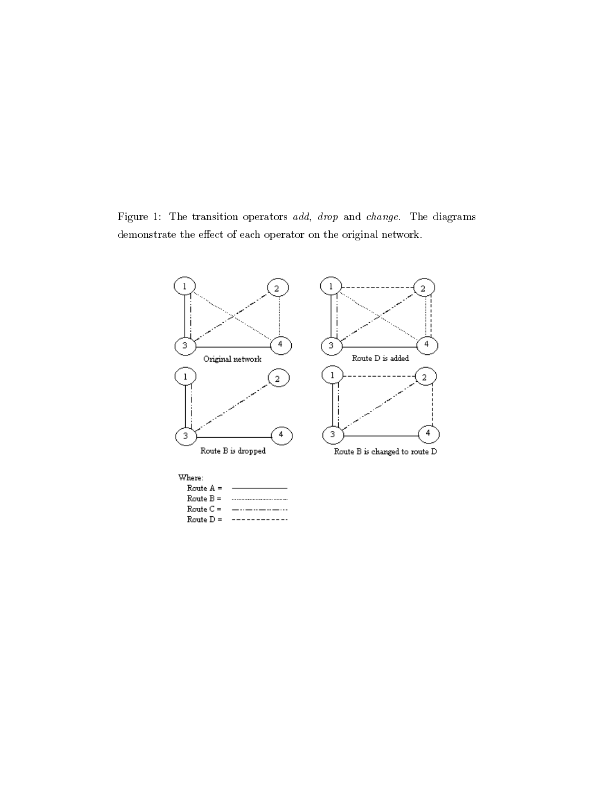Figure 1: The transition operators add, drop and change. The diagrams  ${\rm demonstrate}$  the effect of each operator on the original network.

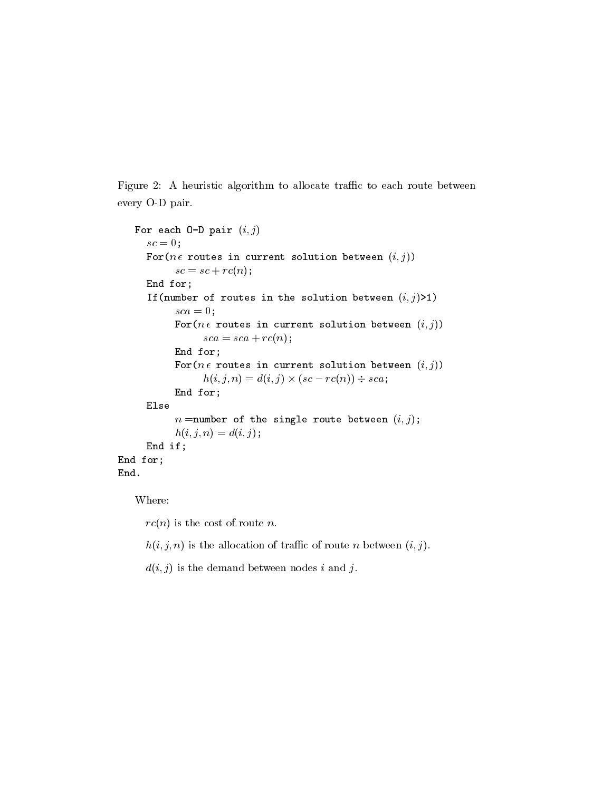Figure 2: A heuristic algorithm to allocate traffic to each route between every O-D pair.

```
F \circ F each F \circ F is F \circ F if Fsc = 0;
     For(n \in routes in current solution between (i, j))
          sc = sc + rc(n);End for;
     If(number of routes in the solution between (i; j)>1)
          sca = 0;For(n \in routes in current solution between (i, j))
               sca = sca + rc(n);E = E for E = 1For(n \in routes in current solution between (i, j))
                h(i; j; n) = d(i; j) -
 (sc  rc(n)) sca;
          End for;
     Elsen =number of the single route between (i, j);
          h(i, j, n) = d(i, j);End if;
E = E for E = 1End.
```
Where:

 $rc(n)$  is the cost of route *n*.<br> $h(i, j, n)$  is the allocation of traffic of route *n* between  $(i, j)$ .

 $d(i, j)$  is the demand between nodes i and j.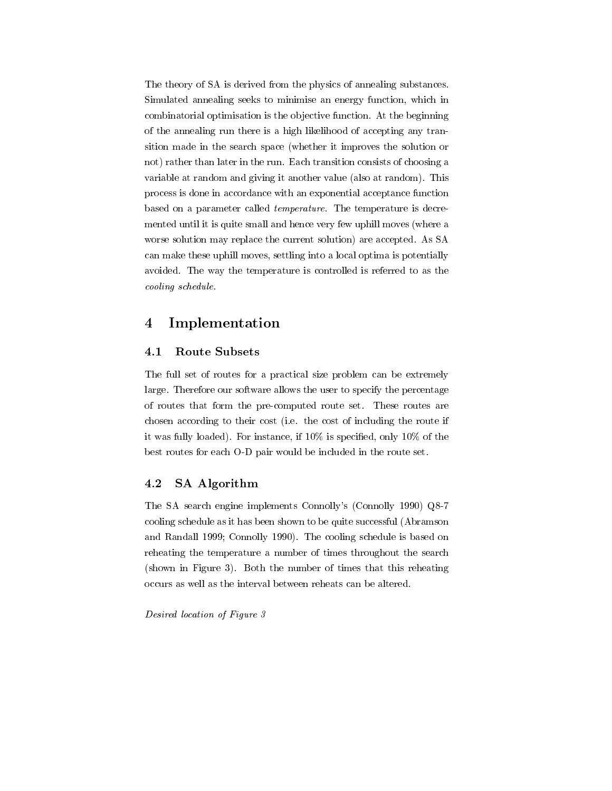The theory of SA is derived from the physics of annealing substances. Simulated annealing seeks to minimise an energy function, which in combinatorial optimisation is the ob jective function. At the beginning of the annealing run there is a high likelihood of accepting any transition made in the search space (whether it improves the solution or not) rather than later in the run. Each transition consists of choosing a variable at random and giving it another value (also at random). This process is done in accordance with an exponential acceptance function based on a parameter called temperature. The temperature is decremented until it is quite small and hence very few uphill moves (where a worse solution may replace the current solution) are accepted. As SA can make these uphill moves, settling into a local optima is potentially avoided. The way the temperature is controlled is referred to as the cooling schedule.

## 4 Implementation

#### 4.1 Route Subsets

The full set of routes for a practical size problem can be extremely large. Therefore our software allows the user to specify the percentage of routes that form the pre-computed route set. These routes are chosen according to their cost (i.e. the cost of including the route if it was fully loaded). For instance, if  $10\%$  is specified, only  $10\%$  of the best routes for each O-D pair would be included in the route set.

#### 4.2 SA Algorithm

The SA search engine implements Connolly's (Connolly 1990) Q8-7 cooling schedule as it has been shown to be quite successful (Abramson and Randall 1999; Connolly 1990). The cooling schedule is based on reheating the temperature a number of times throughout the search (shown in Figure 3). Both the number of times that this reheating occurs as well as the interval between reheats can be altered.

Desired location of Figure 3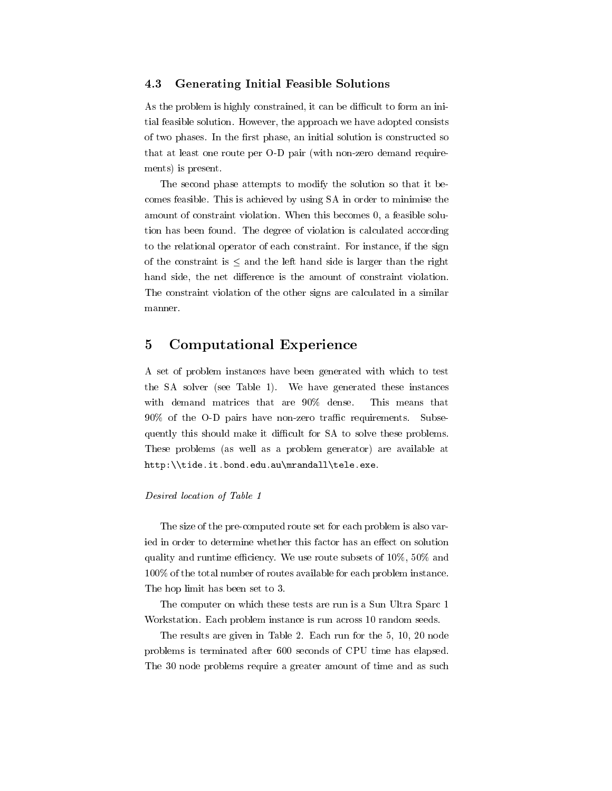#### 4.3 Generating Initial Feasible Solutions 4.3

As the problem is highly constrained, it can be difficult to form an initial feasible solution. However, the approach we have adopted consists of two phases. In the first phase, an initial solution is constructed so that at least one route per O-D pair (with non-zero demand requirements) is present.

The second phase attempts to modify the solution so that it becomes feasible. This is achieved by using SA in order to minimise the amount of constraint violation. When this becomes 0, a feasible solution has been found. The degree of violation is calculated according to the relational operator of each constraint. For instance, if the sign of the constraint is  $\leq$  and the left hand side is larger than the right hand side, the net difference is the amount of constraint violation. The constraint violation of the other signs are calculated in a similar manner.

#### 5 Computational Experience  $\overline{5}$

A set of problem instances have been generated with which to test the SA solver (see Table 1). We have generated these instances with demand matrices that are 90% dense. This means that  $90\%$  of the O-D pairs have non-zero traffic requirements. Subsequently this should make it difficult for SA to solve these problems. These problems (as well as a problem generator) are available at http:\\tide.it.bond.edu.au\mrandall\tele.exe.

#### Desired location of Table 1

The size of the pre-computed route set for each problem is also varied in order to determine whether this factor has an effect on solution quality and runtime efficiency. We use route subsets of  $10\%$ ,  $50\%$  and 100% of the total number of routes available for each problem instance. The hop limit has been set to 3.

The computer on which these tests are run is a Sun Ultra Sparc 1 Workstation. Each problem instance is run across 10 random seeds.

The results are given in Table 2. Each run for the 5, 10, 20 node problems is terminated after 600 seconds of CPU time has elapsed. The 30 node problems require a greater amount of time and as such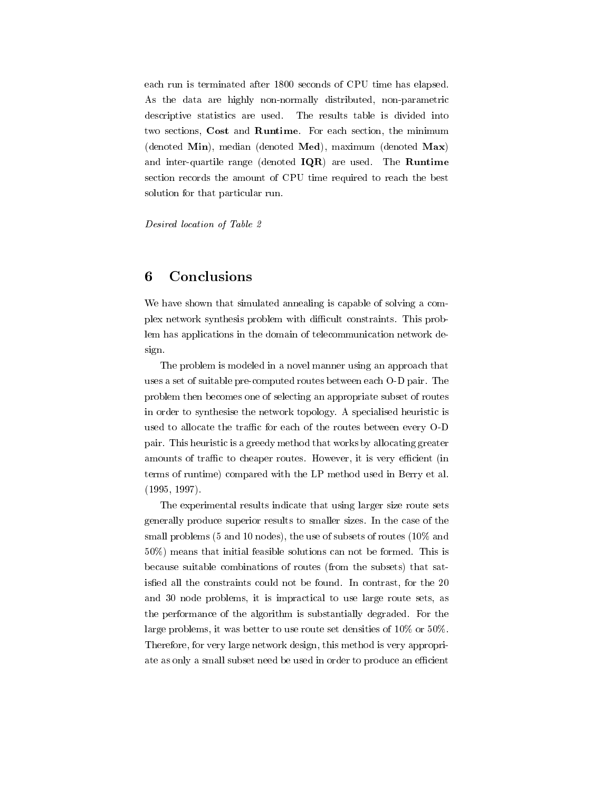each run is terminated after 1800 seconds of CPU time has elapsed. As the data are highly non-normally distributed, non-parametric descriptive statistics are used. The results table is divided into two sections, Cost and Runtime. For each section, the minimum (denoted Min), median (denoted Med), maximum (denoted Max) and inter-quartile range (denoted IQR) are used. The Runtime section records the amount of CPU time required to reach the best solution for that particular run.

Desired location of Table 2

#### 6 **Conclusions**

We have shown that simulated annealing is capable of solving a complex network synthesis problem with difficult constraints. This problem has applications in the domain of telecommunication network design.

The problem is modeled in a novel manner using an approach that uses a set of suitable pre-computed routes between each O-D pair. The problem then becomes one of selecting an appropriate subset of routes in order to synthesise the network topology. A specialised heuristic is used to allocate the traffic for each of the routes between every O-D pair. This heuristic is a greedy method that works by allocating greater amounts of traffic to cheaper routes. However, it is very efficient (in terms of runtime) compared with the LP method used in Berry et al. (1995, 1997).

The experimental results indicate that using larger size route sets generally produce superior results to smaller sizes. In the case of the small problems (5 and 10 nodes), the use of subsets of routes (10% and 50%) means that initial feasible solutions can not be formed. This is because suitable combinations of routes (from the subsets) that satisfied all the constraints could not be found. In contrast, for the 20 and 30 node problems, it is impractical to use large route sets, as the performance of the algorithm is substantially degraded. For the large problems, it was better to use route set densities of 10% or 50%. Therefore, for very large network design, this method is very appropriate as only a small subset need be used in order to produce an efficient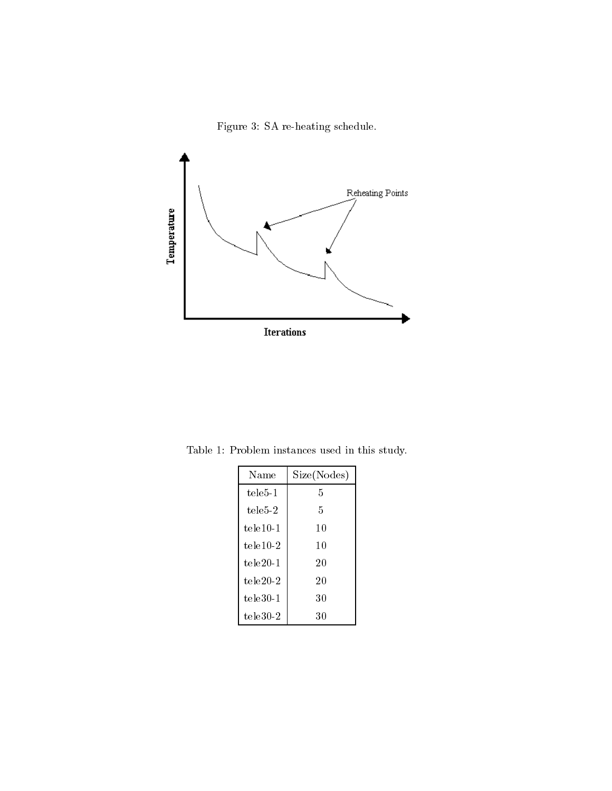Figure 3: SA re-heating schedule.



Table 1: Problem instances used in this study.

| Name         | Size(Nodes) |  |
|--------------|-------------|--|
| $tele5-1$    | 5           |  |
| $tele5-2$    | 5           |  |
| tele10-1     | 10          |  |
| $tele10-2$   | 10          |  |
| $tele20-1$   | 20          |  |
| tele $20\,2$ | 20          |  |
| $tele30-1$   | 30          |  |
| tele $30\,2$ | 30          |  |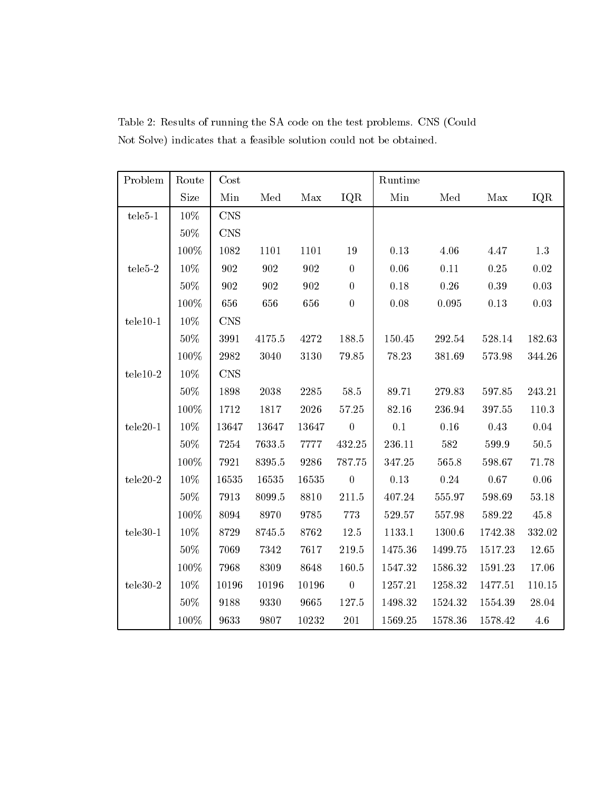| Problem                 | Route   | Cost           |            |                    |                  | Runtime    |             |          |            |
|-------------------------|---------|----------------|------------|--------------------|------------------|------------|-------------|----------|------------|
|                         | Size    | Min            | Med        | Max                | IQR              | Min        | Med         | Max      | IQR        |
| $tele5-1$               | $10\%$  | $\mathrm{CNS}$ |            |                    |                  |            |             |          |            |
|                         | $50\%$  | <b>CNS</b>     |            |                    |                  |            |             |          |            |
|                         | $100\%$ | $1082\,$       | 1101       | 1101               | $19\,$           | 0.13       | 4.06        | 4.47     | 1.3        |
| $tele5-2$               | $10\%$  | 902            | 902        | 902                | $\boldsymbol{0}$ | $0.06\,$   | $0.11\,$    | $0.25\,$ | $0.02\,$   |
|                         | $50\%$  | 902            | 902        | $\boldsymbol{902}$ | $\overline{0}$   | $0.18\,$   | $0.26\,$    | $0.39\,$ | $\rm 0.03$ |
|                         | $100\%$ | 656            | 656        | 656                | $\boldsymbol{0}$ | $0.08\,$   | $\,0.095\,$ | $0.13\,$ | $\rm 0.03$ |
| $tele10-1$              | 10\%    | <b>CNS</b>     |            |                    |                  |            |             |          |            |
|                         | $50\%$  | $399\,1$       | $4175.5\,$ | 4272               | 188.5            | $150.45\,$ | 292.54      | 528.14   | 182.63     |
|                         | 100%    | 2982           | 3040       | 3130               | 79.85            | 78.23      | 381.69      | 573.98   | 344.26     |
| ${\tt tele10\text{-}2}$ | 10\%    | <b>CNS</b>     |            |                    |                  |            |             |          |            |
|                         | $50\%$  | 1898           | 2038       | 2285               | $58.5\,$         | 89.71      | 279.83      | 597.85   | 243.21     |
|                         | 100%    | $1712\,$       | $1817\,$   | $2026\,$           | 57.25            | 82.16      | 236.94      | 397.55   | 110.3      |
| $tele20-1$              | $10\%$  | 13647          | 13647      | 13647              | $\overline{0}$   | 0.1        | $0.16\,$    | $0.43\,$ | $0.04\,$   |
|                         | $50\%$  | 7254           | 7633.5     | 7777               | 432.25           | $236.11\,$ | 582         | 599.9    | $50.5\,$   |
|                         | 100%    | 7921           | 8395.5     | 9286               | 787.75           | 347.25     | 565.8       | 598.67   | 71.78      |
| $tele20-2$              | 10%     | 16535          | 16535      | 16535              | $\mathbf{0}$     | 0.13       | $0.24\,$    | 0.67     | $0.06\,$   |
|                         | 50%     | 7913           | 8099.5     | 8810               | 211.5            | 407.24     | 555.97      | 598.69   | 53.18      |
|                         | 100%    | 8094           | 8970       | 9785               | 773              | 529.57     | 557.98      | 589.22   | 45.8       |
| $tele30-1$              | 10\%    | 8729           | 8745.5     | 8762               | $12.5\,$         | 1133.1     | 1300.6      | 1742.38  | 332.02     |
|                         | $50\%$  | 7069           | 7342       | 7617               | 219.5            | 1475.36    | 1499.75     | 1517.23  | 12.65      |
|                         | 100%    | 7968           | 8309       | 8648               | 160.5            | 1547.32    | 1586.32     | 1591.23  | 17.06      |
| $tele30-2$              | 10\%    | 10196          | 10196      | 10196              | $\mathbf{0}$     | 1257.21    | 1258.32     | 1477.51  | 110.15     |
|                         | $50\%$  | 9188           | 9330       | 9665               | 127.5            | 1498.32    | 1524.32     | 1554.39  | 28.04      |
|                         | 100%    | 9633           | 9807       | 10232              | $201\,$          | 1569.25    | 1578.36     | 1578.42  | 4.6        |

Table 2: Results of running the SA code on the test problems. CNS (Could Not Solve) indicates that a feasible solution could not be obtained.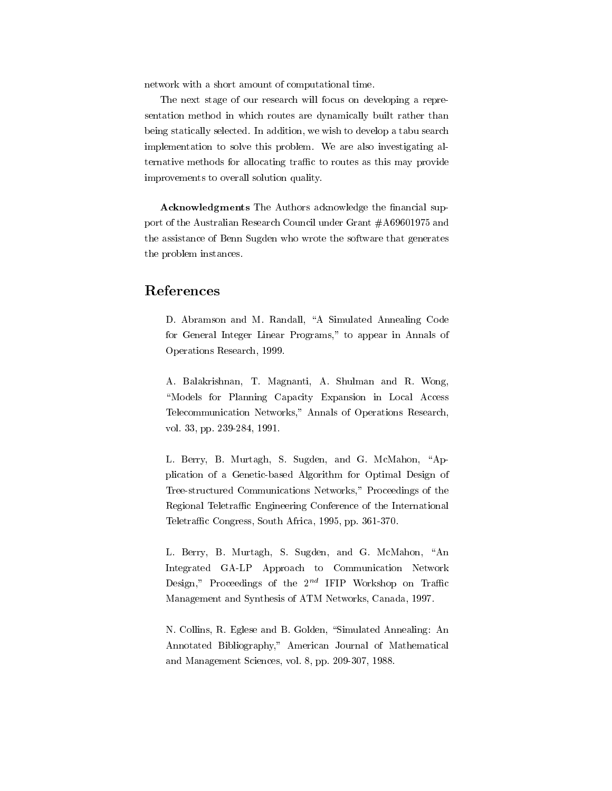network with a short amount of computational time.

The next stage of our research will focus on developing a representation method in which routes are dynamically built rather than being statically selected. In addition, we wish to develop a tabu search implementation to solve this problem. We are also investigating alternative methods for allocating traffic to routes as this may provide improvements to overall solution quality.

Acknowledgments The Authors acknowledge the financial support of the Australian Research Council under Grant #A69601975 and the assistance of Benn Sugden who wrote the software that generates the problem instances.

### References

D. Abramson and M. Randall, "A Simulated Annealing Code for General Integer Linear Programs," to appear in Annals of Operations Research, 1999.

A. Balakrishnan, T. Magnanti, A. Shulman and R. Wong, "Models for Planning Capacity Expansion in Local Access Telecommunication Networks," Annals of Operations Research, vol. 33, pp. 239-284, 1991.

L. Berry, B. Murtagh, S. Sugden, and G. McMahon, "Application of a Genetic-based Algorithm for Optimal Design of Tree-structured Communications Networks," Proceedings of the Regional Teletraffic Engineering Conference of the International Teletraffic Congress, South Africa, 1995, pp. 361-370.

L. Berry, B. Murtagh, S. Sugden, and G. McMahon, "An Integrated GA-LP Approach to Communication Network Design," Proceedings of the  $2^{nd}$  IFIP Workshop on Traffic Management and Synthesis of ATM Networks, Canada, 1997.

N. Collins, R. Eglese and B. Golden, "Simulated Annealing: An Annotated Bibliography," American Journal of Mathematical and Management Sciences, vol. 8, pp. 209-307, 1988.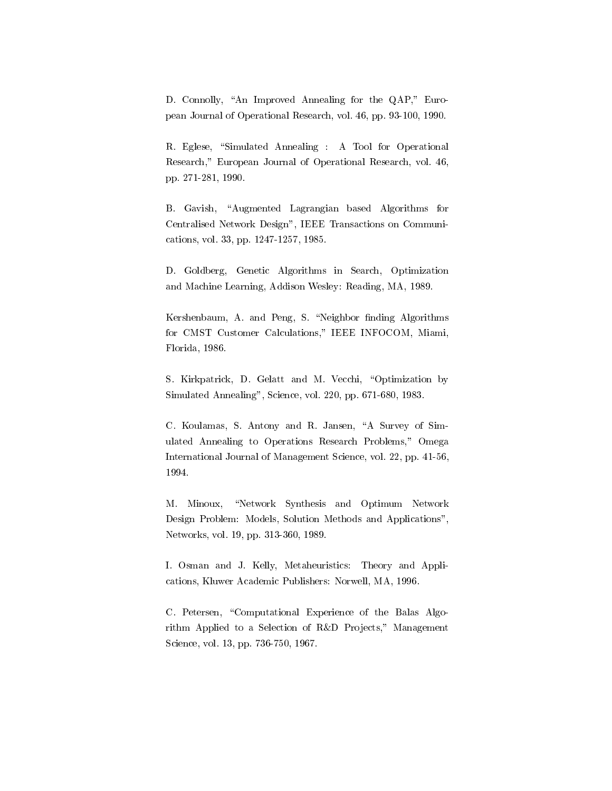D. Connolly, "An Improved Annealing for the QAP," European Journal of Operational Research, vol. 46, pp. 93-100, 1990.

R. Eglese, "Simulated Annealing : A Tool for Operational Research," European Journal of Operational Research, vol. 46, pp. 271-281, 1990.

B. Gavish, "Augmented Lagrangian based Algorithms for Centralised Network Design", IEEE Transactions on Communications, vol. 33, pp. 1247-1257, 1985.

D. Goldberg, Genetic Algorithms in Search, Optimization and Machine Learning, Addison Wesley: Reading, MA, 1989.

Kershenbaum, A. and Peng, S. "Neighbor finding Algorithms for CMST Customer Calculations," IEEE INFOCOM, Miami, Florida, 1986.

S. Kirkpatrick, D. Gelatt and M. Vecchi, "Optimization by Simulated Annealing", Science, vol. 220, pp. 671-680, 1983.

C. Koulamas, S. Antony and R. Jansen, "A Survey of Simulated Annealing to Operations Research Problems," Omega International Journal of Management Science, vol. 22, pp. 41-56, 1994.

M. Minoux, "Network Synthesis and Optimum Network Design Problem: Models, Solution Methods and Applications", Networks, vol. 19, pp. 313-360, 1989.

I. Osman and J. Kelly, Metaheuristics: Theory and Applications, Kluwer Academic Publishers: Norwell, MA, 1996.

C. Petersen, "Computational Experience of the Balas Algorithm Applied to a Selection of R&D Projects," Management Science, vol. 13, pp. 736-750, 1967.